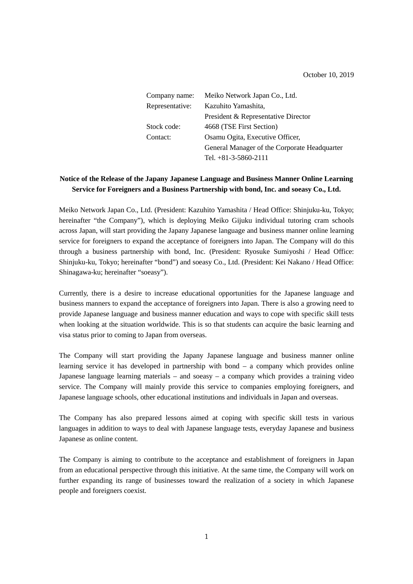October 10, 2019

| Company name:   | Meiko Network Japan Co., Ltd.                |
|-----------------|----------------------------------------------|
| Representative: | Kazuhito Yamashita,                          |
|                 | President & Representative Director          |
| Stock code:     | 4668 (TSE First Section)                     |
| Contact:        | Osamu Ogita, Executive Officer,              |
|                 | General Manager of the Corporate Headquarter |
|                 | Tel. $+81-3-5860-2111$                       |

# **Notice of the Release of the Japany Japanese Language and Business Manner Online Learning Service for Foreigners and a Business Partnership with bond, Inc. and soeasy Co., Ltd.**

Meiko Network Japan Co., Ltd. (President: Kazuhito Yamashita / Head Office: Shinjuku-ku, Tokyo; hereinafter "the Company"), which is deploying Meiko Gijuku individual tutoring cram schools across Japan, will start providing the Japany Japanese language and business manner online learning service for foreigners to expand the acceptance of foreigners into Japan. The Company will do this through a business partnership with bond, Inc. (President: Ryosuke Sumiyoshi / Head Office: Shinjuku-ku, Tokyo; hereinafter "bond") and soeasy Co., Ltd. (President: Kei Nakano / Head Office: Shinagawa-ku; hereinafter "soeasy").

Currently, there is a desire to increase educational opportunities for the Japanese language and business manners to expand the acceptance of foreigners into Japan. There is also a growing need to provide Japanese language and business manner education and ways to cope with specific skill tests when looking at the situation worldwide. This is so that students can acquire the basic learning and visa status prior to coming to Japan from overseas.

The Company will start providing the Japany Japanese language and business manner online learning service it has developed in partnership with bond – a company which provides online Japanese language learning materials – and soeasy – a company which provides a training video service. The Company will mainly provide this service to companies employing foreigners, and Japanese language schools, other educational institutions and individuals in Japan and overseas.

The Company has also prepared lessons aimed at coping with specific skill tests in various languages in addition to ways to deal with Japanese language tests, everyday Japanese and business Japanese as online content.

The Company is aiming to contribute to the acceptance and establishment of foreigners in Japan from an educational perspective through this initiative. At the same time, the Company will work on further expanding its range of businesses toward the realization of a society in which Japanese people and foreigners coexist.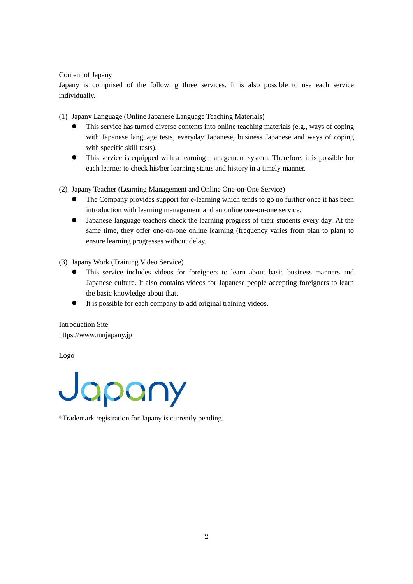# Content of Japany

Japany is comprised of the following three services. It is also possible to use each service individually.

(1) Japany Language (Online Japanese Language Teaching Materials)

- This service has turned diverse contents into online teaching materials (e.g., ways of coping with Japanese language tests, everyday Japanese, business Japanese and ways of coping with specific skill tests).
- This service is equipped with a learning management system. Therefore, it is possible for each learner to check his/her learning status and history in a timely manner.

(2) Japany Teacher (Learning Management and Online One-on-One Service)

- The Company provides support for e-learning which tends to go no further once it has been introduction with learning management and an online one-on-one service.
- Japanese language teachers check the learning progress of their students every day. At the same time, they offer one-on-one online learning (frequency varies from plan to plan) to ensure learning progresses without delay.

(3) Japany Work (Training Video Service)

- This service includes videos for foreigners to learn about basic business manners and Japanese culture. It also contains videos for Japanese people accepting foreigners to learn the basic knowledge about that.
- It is possible for each company to add original training videos.

Introduction Site https://www.mnjapany.jp

Logo

Japany

\*Trademark registration for Japany is currently pending.